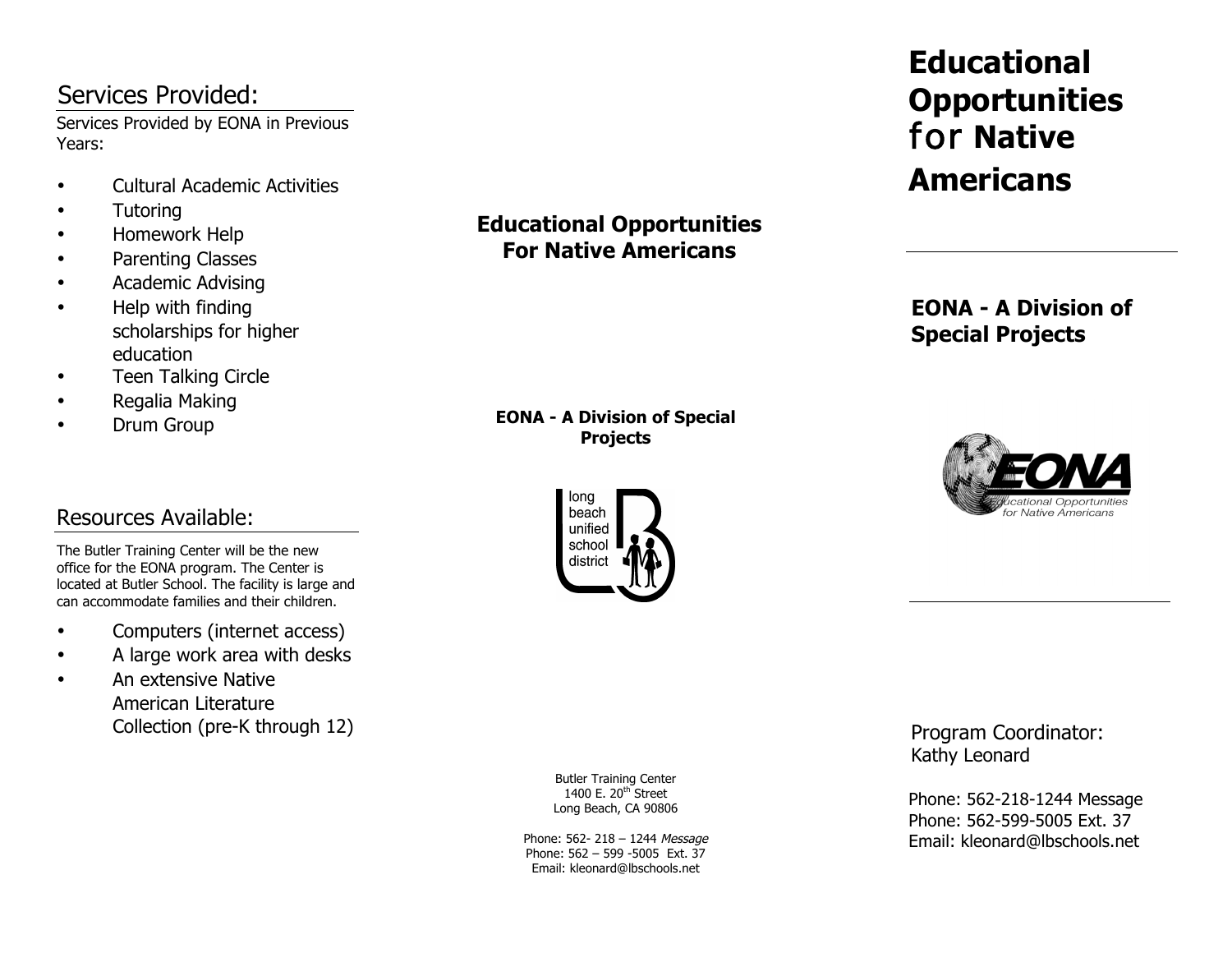# Services Provided:

Services Provided by EONA in Previous Years:

- Cultural Academic Activities
- Tutoring
- Homework Help
- Parenting Classes
- Academic Advising
- Help with finding scholarships for higher education
- Teen Talking Circle
- Regalia Making
- Drum Group

# Resources Available:

The Butler Training Center will be the new office for the EONA program. The Center is located at Butler School. The facility is large and can accommodate families and their children.

- Computers (internet access)
- A large work area with desks
- An extensive Native American Literature Collection (pre-K through 12)

**Educational Opportunities For Native Americans**

**EONA - A Division of Special Projects**



**Educational Opportunities**  for **Native Americans**

**EONA - A Division of Special Projects**



Program Coordinator: Kathy Leonard

Phone: 562-218-1244 Message Phone: 562-599-5005 Ext. 37 Email: kleonard@lbschools.net

Butler Training Center 1400 E. 20<sup>th</sup> Street Long Beach, CA 90806

Phone: 562- 218 - 1244 Message Phone: 562 – 599 -5005 Ext. 37 Email: kleonard@lbschools.net